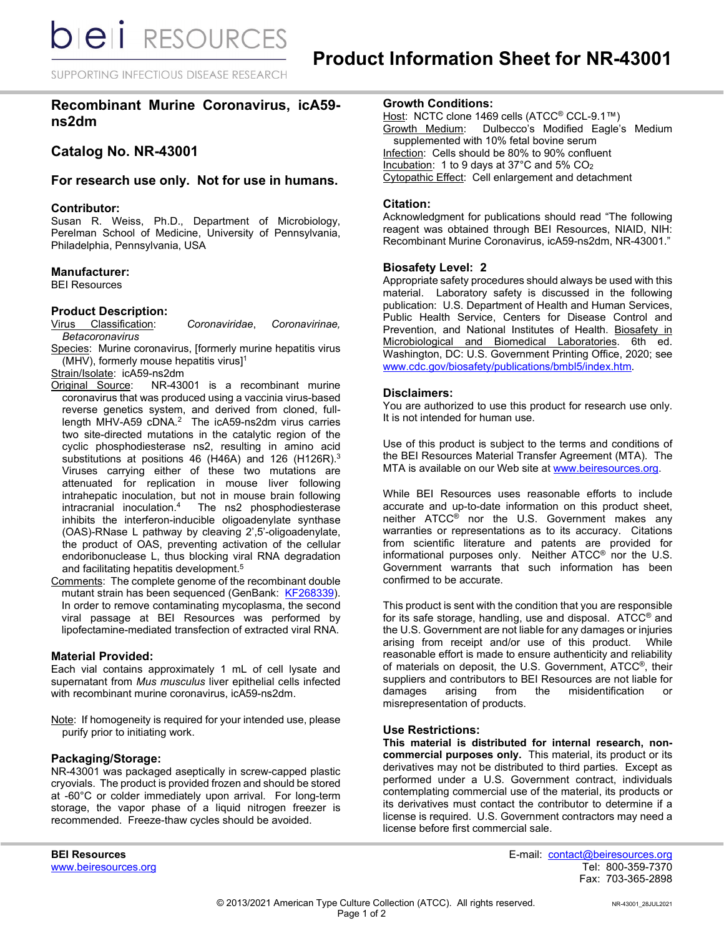**bieli** RESOURCES

SUPPORTING INFECTIOUS DISEASE RESEARCH

# **Recombinant Murine Coronavirus, icA59 ns2dm**

**Catalog No. NR-43001**

# **For research use only. Not for use in humans.**

#### **Contributor:**

Susan R. Weiss, Ph.D., Department of Microbiology, Perelman School of Medicine, University of Pennsylvania, Philadelphia, Pennsylvania, USA

#### **Manufacturer:**

BEI Resources

#### **Product Description:**

Virus Classification: *Coronaviridae*, *Coronavirinae, Betacoronavirus*

Species: Murine coronavirus, [formerly murine hepatitis virus (MHV), formerly mouse hepatitis virus] 1

Strain/Isolate: icA59-ns2dm<br>Original Source: NR-430

- NR-43001 is a recombinant murine coronavirus that was produced using a vaccinia virus-based reverse genetics system, and derived from cloned, fulllength MHV-A59 cDNA.<sup>2</sup> The icA59-ns2dm virus carries two site-directed mutations in the catalytic region of the cyclic phosphodiesterase ns2, resulting in amino acid substitutions at positions 46 (H46A) and 126 (H126R).<sup>3</sup> Viruses carrying either of these two mutations are attenuated for replication in mouse liver following intrahepatic inoculation, but not in mouse brain following<br>intracranial inoculation.<sup>4</sup> The ns2 phosphodiesterase The ns2 phosphodiesterase inhibits the interferon-inducible oligoadenylate synthase (OAS)-RNase L pathway by cleaving 2',5'-oligoadenylate, the product of OAS, preventing activation of the cellular endoribonuclease L, thus blocking viral RNA degradation and facilitating hepatitis development.<sup>5</sup>
- Comments: The complete genome of the recombinant double mutant strain has been sequenced (GenBank: [KF268339\)](http://www.ncbi.nlm.nih.gov/nuccore/KF268339). In order to remove contaminating mycoplasma, the second viral passage at BEI Resources was performed by lipofectamine-mediated transfection of extracted viral RNA.

# **Material Provided:**

Each vial contains approximately 1 mL of cell lysate and supernatant from *Mus musculus* liver epithelial cells infected with recombinant murine coronavirus, icA59-ns2dm.

Note: If homogeneity is required for your intended use, please purify prior to initiating work.

### **Packaging/Storage:**

NR-43001 was packaged aseptically in screw-capped plastic cryovials. The product is provided frozen and should be stored at -60°C or colder immediately upon arrival. For long-term storage, the vapor phase of a liquid nitrogen freezer is recommended. Freeze-thaw cycles should be avoided.

<u>Host</u>: NCTC clone 1469 cells (ATCC<sup>®</sup> CCL-9.1™)<br>Growth Medium: Dulbecco's Modified Eagle's Dulbecco's Modified Eagle's Medium supplemented with 10% fetal bovine serum Infection: Cells should be 80% to 90% confluent Incubation: 1 to 9 days at 37 $^{\circ}$ C and 5% CO<sub>2</sub> Cytopathic Effect: Cell enlargement and detachment

# **Citation:**

Acknowledgment for publications should read "The following reagent was obtained through BEI Resources, NIAID, NIH: Recombinant Murine Coronavirus, icA59-ns2dm, NR-43001."

### **Biosafety Level: 2**

Appropriate safety procedures should always be used with this material. Laboratory safety is discussed in the following publication: U.S. Department of Health and Human Services, Public Health Service, Centers for Disease Control and Prevention, and National Institutes of Health. Biosafety in Microbiological and Biomedical Laboratories. 6th ed. Washington, DC: U.S. Government Printing Office, 2020; see [www.cdc.gov/biosafety/publications/bmbl5/index.htm.](http://www.cdc.gov/biosafety/publications/bmbl5/index.htm)

#### **Disclaimers:**

You are authorized to use this product for research use only. It is not intended for human use.

Use of this product is subject to the terms and conditions of the BEI Resources Material Transfer Agreement (MTA). The MTA is available on our Web site at [www.beiresources.org.](http://www.beiresources.org/)

While BEI Resources uses reasonable efforts to include accurate and up-to-date information on this product sheet, neither ATCC® nor the U.S. Government makes any warranties or representations as to its accuracy. Citations from scientific literature and patents are provided for informational purposes only. Neither ATCC® nor the U.S. Government warrants that such information has been confirmed to be accurate.

This product is sent with the condition that you are responsible for its safe storage, handling, use and disposal. ATCC® and the U.S. Government are not liable for any damages or injuries arising from receipt and/or use of this product. While reasonable effort is made to ensure authenticity and reliability of materials on deposit, the U.S. Government, ATCC®, their suppliers and contributors to BEI Resources are not liable for<br>damages arising from the misidentification or from the misidentification or misrepresentation of products.

### **Use Restrictions:**

**This material is distributed for internal research, noncommercial purposes only.** This material, its product or its derivatives may not be distributed to third parties. Except as performed under a U.S. Government contract, individuals contemplating commercial use of the material, its products or its derivatives must contact the contributor to determine if a license is required. U.S. Government contractors may need a license before first commercial sale.

**BEI Resources** E-mail: contact@beiresources.org Fax: 703-365-2898